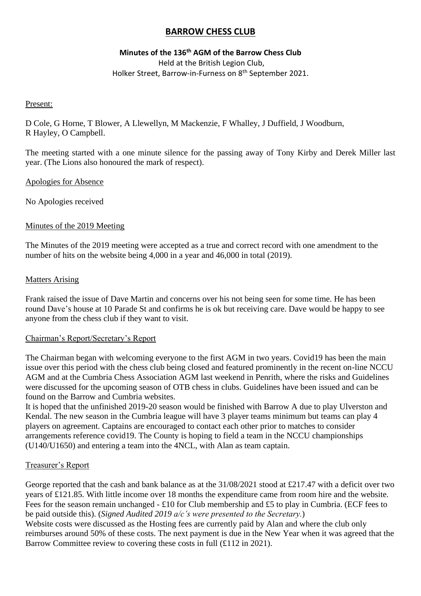# **BARROW CHESS CLUB**

# **Minutes of the 136 th AGM of the Barrow Chess Club**

Held at the British Legion Club, Holker Street, Barrow-in-Furness on 8<sup>th</sup> September 2021.

### Present:

D Cole, G Horne, T Blower, A Llewellyn, M Mackenzie, F Whalley, J Duffield, J Woodburn, R Hayley, O Campbell.

The meeting started with a one minute silence for the passing away of Tony Kirby and Derek Miller last year. (The Lions also honoured the mark of respect).

## Apologies for Absence

No Apologies received

## Minutes of the 2019 Meeting

The Minutes of the 2019 meeting were accepted as a true and correct record with one amendment to the number of hits on the website being 4,000 in a year and 46,000 in total (2019).

## Matters Arising

Frank raised the issue of Dave Martin and concerns over his not being seen for some time. He has been round Dave's house at 10 Parade St and confirms he is ok but receiving care. Dave would be happy to see anyone from the chess club if they want to visit.

### Chairman's Report/Secretary's Report

The Chairman began with welcoming everyone to the first AGM in two years. Covid19 has been the main issue over this period with the chess club being closed and featured prominently in the recent on-line NCCU AGM and at the Cumbria Chess Association AGM last weekend in Penrith, where the risks and Guidelines were discussed for the upcoming season of OTB chess in clubs. Guidelines have been issued and can be found on the Barrow and Cumbria websites.

It is hoped that the unfinished 2019-20 season would be finished with Barrow A due to play Ulverston and Kendal. The new season in the Cumbria league will have 3 player teams minimum but teams can play 4 players on agreement. Captains are encouraged to contact each other prior to matches to consider arrangements reference covid19. The County is hoping to field a team in the NCCU championships (U140/U1650) and entering a team into the 4NCL, with Alan as team captain.

### Treasurer's Report

George reported that the cash and bank balance as at the  $31/08/2021$  stood at £217.47 with a deficit over two years of £121.85. With little income over 18 months the expenditure came from room hire and the website. Fees for the season remain unchanged - £10 for Club membership and £5 to play in Cumbria. (ECF fees to be paid outside this). (*Signed Audited 2019 a/c's were presented to the Secretary.*)

Website costs were discussed as the Hosting fees are currently paid by Alan and where the club only reimburses around 50% of these costs. The next payment is due in the New Year when it was agreed that the Barrow Committee review to covering these costs in full (£112 in 2021).